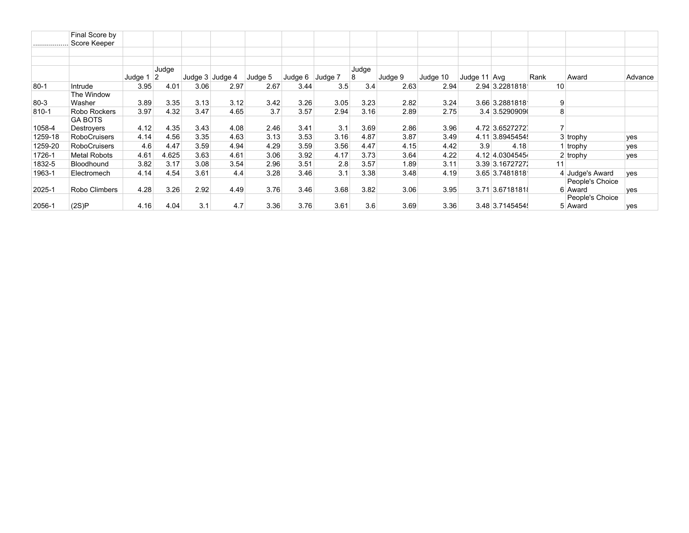|           | Final Score by      |         |                |      |                   |         |         |         |       |         |          |              |                  |      |                 |         |
|-----------|---------------------|---------|----------------|------|-------------------|---------|---------|---------|-------|---------|----------|--------------|------------------|------|-----------------|---------|
|           | Score Keeper        |         |                |      |                   |         |         |         |       |         |          |              |                  |      |                 |         |
|           |                     |         |                |      |                   |         |         |         |       |         |          |              |                  |      |                 |         |
|           |                     |         |                |      |                   |         |         |         |       |         |          |              |                  |      |                 |         |
|           |                     |         | Judge          |      |                   |         |         |         | Judge |         |          |              |                  |      |                 |         |
|           |                     | Judge 1 | $\overline{2}$ |      | Judge $3$ Judge 4 | Judge 5 | Judge 6 | Judge 7 | 8     | Judge 9 | Judge 10 | Judge 11 Avg |                  | Rank | Award           | Advance |
| $80 - 1$  | Intrude             | 3.95    | 4.01           | 3.06 | 2.97              | 2.67    | 3.44    | 3.5     | 3.4   | 2.63    | 2.94     |              | 2.94 3.2281818   | 10   |                 |         |
|           | The Window          |         |                |      |                   |         |         |         |       |         |          |              |                  |      |                 |         |
| 80-3      | Washer              | 3.89    | 3.35           | 3.13 | 3.12              | 3.42    | 3.26    | 3.05    | 3.23  | 2.82    | 3.24     |              | 3.66 3.2881818   | 9    |                 |         |
| $810 - 1$ | Robo Rockers        | 3.97    | 4.32           | 3.47 | 4.65              | 3.7     | 3.57    | 2.94    | 3.16  | 2.89    | 2.75     |              | 3.4 3.52909090   | 8    |                 |         |
|           | <b>GA BOTS</b>      |         |                |      |                   |         |         |         |       |         |          |              |                  |      |                 |         |
| 1058-4    | Destroyers          | 4.12    | 4.35           | 3.43 | 4.08              | 2.46    | 3.41    | 3.1     | 3.69  | 2.86    | 3.96     |              | 4.72 3.65272727  |      |                 |         |
| 1259-18   | <b>RoboCruisers</b> | 4.14    | 4.56           | 3.35 | 4.63              | 3.13    | 3.53    | 3.16    | 4.87  | 3.87    | 3.49     |              | 4.11 3.8945454   |      | $3$ trophy      | yes     |
| 1259-20   | <b>RoboCruisers</b> | 4.6     | 4.47           | 3.59 | 4.94              | 4.29    | 3.59    | 3.56    | 4.47  | 4.15    | 4.42     | 3.9          | 4.18             |      | trophy          | yes     |
| 1726-1    | Metal Robots        | 4.61    | 4.625          | 3.63 | 4.61              | 3.06    | 3.92    | 4.17    | 3.73  | 3.64    | 4.22     |              | 4.12 4.03045454  |      | $2  $ trophy    | yes     |
| 1832-5    | Bloodhound          | 3.82    | 3.17           | 3.08 | 3.54              | 2.96    | 3.51    | 2.8     | 3.57  | 1.89    | 3.11     |              | 3.39 3.16727271  | 11   |                 |         |
| 1963-1    | Electromech         | 4.14    | 4.54           | 3.61 | 4.4               | 3.28    | 3.46    | 3.1     | 3.38  | 3.48    | 4.19     |              | $3.65$ 3.7481818 |      | 4 Judge's Award | ves     |
|           |                     |         |                |      |                   |         |         |         |       |         |          |              |                  |      | People's Choice |         |
| 2025-1    | Robo Climbers       | 4.28    | 3.26           | 2.92 | 4.49              | 3.76    | 3.46    | 3.68    | 3.82  | 3.06    | 3.95     |              | 3.71 3.67181818  |      | 6 Award         | ves     |
|           |                     |         |                |      |                   |         |         |         |       |         |          |              |                  |      | People's Choice |         |
| 2056-1    | (2S)P               | 4.16    | 4.04           | 3.1  | 4.7               | 3.36    | 3.76    | 3.61    | 3.6   | 3.69    | 3.36     |              | 3.48 3.7145454   |      | 5 Award         | ves     |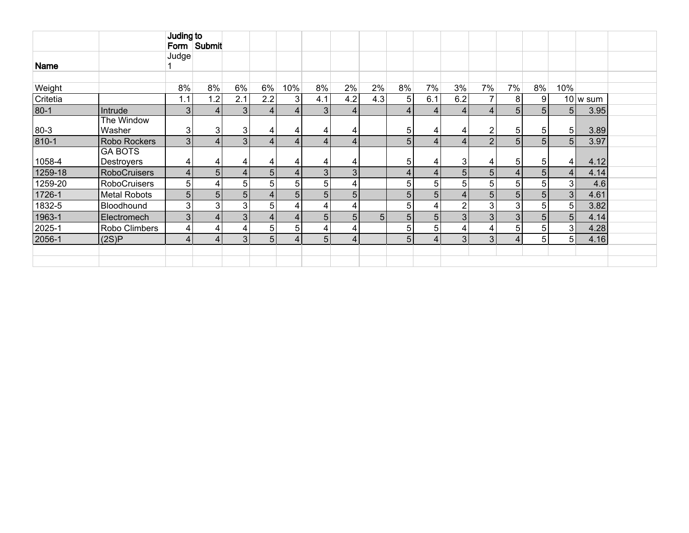|          |                     | Juding to      |                |                |                 |      |                |                         |                |                |                |                |                |                |    |                |          |  |
|----------|---------------------|----------------|----------------|----------------|-----------------|------|----------------|-------------------------|----------------|----------------|----------------|----------------|----------------|----------------|----|----------------|----------|--|
|          |                     |                | Form Submit    |                |                 |      |                |                         |                |                |                |                |                |                |    |                |          |  |
|          |                     | Judge          |                |                |                 |      |                |                         |                |                |                |                |                |                |    |                |          |  |
| Name     |                     |                |                |                |                 |      |                |                         |                |                |                |                |                |                |    |                |          |  |
|          |                     |                |                |                |                 |      |                |                         |                |                |                |                |                |                |    |                |          |  |
| Weight   |                     | 8%             | 8%             | 6%             | 6%              | 10%  | 8%             | 2%                      | $2\%$          | 8%             | 7%             | 3%             | 7%             | 7%             | 8% | 10%            |          |  |
| Critetia |                     | 1.1            | 1.2            | 2.1            | 2.2             | 3    | 4.1            | 4.2                     | 4.3            | 5              | 6.1            | 6.2            | 7              | 8              | 9  |                | 10 w sum |  |
| $80-1$   | Intrude             | 3 <sub>l</sub> | 4 <sup>1</sup> | 3 <sub>1</sub> | $\vert$         | $-4$ | 3              | $\overline{4}$          |                | 4              | $\overline{4}$ | $-4.$          | 4              | 5 <sup>1</sup> |    | 5 <sup>1</sup> | 3.95     |  |
|          | The Window          |                |                |                |                 |      |                |                         |                |                |                |                |                |                |    |                |          |  |
| 80-3     | Washer              | 3              | $\mathbf{3}$   | 3              | 4               | 4    |                | 4                       |                | 5              | 4              |                | $\overline{2}$ | 5              | 5  | 5 <sup>1</sup> | 3.89     |  |
| 810-1    | Robo Rockers        | 3 <sub>l</sub> | 4 <sub>1</sub> | 3              | $\overline{4}$  | 4    |                | $\overline{4}$          |                | 5              | $\overline{4}$ | 4              | $\overline{2}$ | 5              | 5  | 5 <sup>1</sup> | 3.97     |  |
|          | <b>GA BOTS</b>      |                |                |                |                 |      |                |                         |                |                |                |                |                |                |    |                |          |  |
| 1058-4   | Destroyers          | 4              | 4              | 4              | 4               | 4    |                | 4                       |                | 5              | 4              | 3              | 4              | 5              | 5  | 4              | 4.12     |  |
| 1259-18  | <b>RoboCruisers</b> | 4              | 5 <sub>5</sub> | 4              | 5 <sub>5</sub>  | 4    | 3              | $\overline{3}$          |                | 4              | 4              | 5 <sub>1</sub> | 5              | 4              | 5  | $\overline{4}$ | 4.14     |  |
| 1259-20  | <b>RoboCruisers</b> | 5              | 4              | 5              | $5\overline{)}$ | 5    | 5 <sub>1</sub> | 4                       |                | 5              | 5              | 5              | 5              | 5              | 5  | 3              | 4.6      |  |
| 1726-1   | <b>Metal Robots</b> | $5\phantom{.}$ | 5 <sub>5</sub> | 5              | 4 <sub>1</sub>  | 5    | 5              | 5                       |                | 5              | 5              |                | 5              | 5              | 5  | 3 <sup>1</sup> | 4.61     |  |
| 1832-5   | Bloodhound          | 3              | $\overline{3}$ | 3              | $5\overline{)}$ | -4.  | 4              | 4                       |                | 5              | 4              | $\overline{2}$ | 3              | 3              | 5  | 5 <sup>1</sup> | 3.82     |  |
| 1963-1   | Electromech         | 3 <sub>l</sub> | 4 <sup>1</sup> | 3              | 4 <sup>1</sup>  | 4    | 5 <sup>1</sup> | 5                       | 5 <sub>5</sub> | 5              | 5 <sup>1</sup> | 3 <sup>1</sup> | 3              | 3              | 5  | 5 <sub>l</sub> | 4.14     |  |
| 2025-1   | Robo Climbers       | $\overline{4}$ | 4              | 4              | $5\overline{)}$ | 5    | 4              | 4                       |                | 5              | 5              | 4              | 4              | 5              | 5  | 3 <sup>1</sup> | 4.28     |  |
| 2056-1   | (2S)P               | $\overline{4}$ | 4 <sup>1</sup> | 3              | 5 <sub>5</sub>  | 4    | 5 <sub>1</sub> | $\overline{\mathbf{4}}$ |                | 5 <sub>5</sub> | 4              | 3 <sub>l</sub> | 3              | 4              | 5  | 5 <sub>1</sub> | 4.16     |  |
|          |                     |                |                |                |                 |      |                |                         |                |                |                |                |                |                |    |                |          |  |
|          |                     |                |                |                |                 |      |                |                         |                |                |                |                |                |                |    |                |          |  |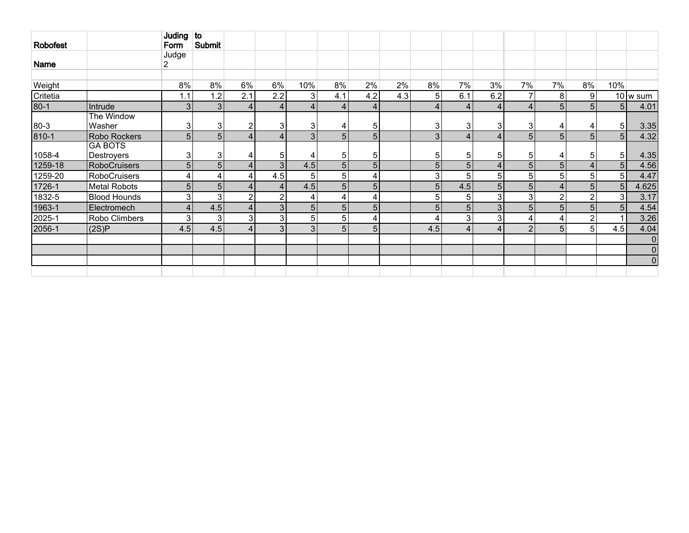| <b>Robofest</b> |                              | Juding to<br>Form | Submit         |                 |                |                |                |                |     |                 |                |                |                |                |               |                |                        |
|-----------------|------------------------------|-------------------|----------------|-----------------|----------------|----------------|----------------|----------------|-----|-----------------|----------------|----------------|----------------|----------------|---------------|----------------|------------------------|
| Name            |                              | Judge<br>2.       |                |                 |                |                |                |                |     |                 |                |                |                |                |               |                |                        |
| Weight          |                              | 8%                | 8%             | 6%              | 6%             | 10%            | 8%             | 2%             | 2%  | 8%              | 7%             | 3%             | 7%             | 7%             | 8%            | 10%            |                        |
| Critetia        |                              | 1.1               | 1.2            | 2.1             | 2.2            | 3              | 4.1            | 4.2            | 4.3 | 5 <sup>1</sup>  | 6.1            | 6.2            | 7              | 8              | 9             |                | $10 \vert w \vert$ sum |
| $80 - 1$        | Intrude                      | 3                 | 3 <sub>l</sub> | $\vert 4 \vert$ | 4              | $\overline{4}$ | 4              |                |     | $\vert 4 \vert$ | $\overline{4}$ | $\overline{4}$ | $\overline{4}$ | 5              |               | 5 <sub>l</sub> | 4.01                   |
| $80 - 3$        | The Window<br>Washer         | 3                 | 3              | $\overline{2}$  | 3              | 3 <sub>l</sub> | 4              | 5              |     | 3               | 3              | 3              | 3 <sub>l</sub> | 4              |               | 5 <sup>5</sup> | 3.35                   |
| $810 - 1$       | Robo Rockers                 | 5                 | 5 <sup>1</sup> | $\vert 4 \vert$ | 4              | 3 <sub>l</sub> | 5              | 5 <sub>1</sub> |     | 3               | $\overline{4}$ | $\overline{4}$ | 5 <sub>1</sub> | 5              | 5             | 5 <sup>1</sup> | 4.32                   |
| 1058-4          | <b>GA BOTS</b><br>Destroyers | 3                 | 3              | 4               | 5              |                | 5              | 5              |     | 5               | 5              | 5              | 5 <sub>l</sub> | 4              | 5             | 5 <sup>1</sup> | 4.35                   |
| 1259-18         | <b>RoboCruisers</b>          | 5                 | $\overline{5}$ | $\vert 4 \vert$ | 3              | 4.5            | 5              | 5 <sub>1</sub> |     | $\overline{5}$  | $\overline{5}$ | 4              | 5 <sup>1</sup> | 5              |               | 5 <sup>1</sup> | 4.56                   |
| 1259-20         | <b>RoboCruisers</b>          | 4                 | 4              | 4               | 4.5            | 5 <sub>1</sub> | 5 <sup>5</sup> |                |     | 3               | 5              | 5 <sup>1</sup> | 5 <sup>5</sup> | 5              | 5             | 5 <sup>5</sup> | 4.47                   |
| 1726-1          | <b>Metal Robots</b>          | 5                 | 5 <sup>1</sup> | 4 <sup>1</sup>  | 4              | 4.5            | 5 <sup>5</sup> | 5 <sup>1</sup> |     | 5               | 4.5            | 5 <sup>1</sup> | 5 <sup>1</sup> | 4              | 5             | 5 <sub>l</sub> | 4.625                  |
| 1832-5          | <b>Blood Hounds</b>          | $\mathbf{3}$      | 3              | $\overline{2}$  | $\overline{2}$ | 4              | 4              |                |     | 5 <sup>1</sup>  | 5              | 3 <sup>1</sup> | 3 <sup>1</sup> | $\overline{2}$ | 2             | 3 <sup>1</sup> | 3.17                   |
| 1963-1          | Electromech                  | $\overline{4}$    | 4.5            | $\vert 4 \vert$ | 3              | 5 <sub>1</sub> | 5              | 5 <sub>1</sub> |     | 5               | 5 <sup>1</sup> | 3 <sub>1</sub> | 5 <sup>1</sup> | 5              | 5             | 5 <sub>5</sub> | 4.54                   |
| 2025-1          | Robo Climbers                | 3                 | 3              | 3               | 3              | 5 <sup>1</sup> | 5              |                |     | 4               | 3              | 3              |                |                | $\mathcal{P}$ |                | 3.26                   |
| 2056-1          | (2S)P                        | 4.5               | 4.5            | $\vert 4 \vert$ | 3              | 3 <sub>1</sub> | 5              | 5              |     | 4.5             | $\overline{4}$ | $\overline{4}$ | 2              | 5              | 5             | 4.5            | 4.04                   |
|                 |                              |                   |                |                 |                |                |                |                |     |                 |                |                |                |                |               |                | $\mathbf 0$            |
|                 |                              |                   |                |                 |                |                |                |                |     |                 |                |                |                |                |               |                | $\mathbf 0$            |
|                 |                              |                   |                |                 |                |                |                |                |     |                 |                |                |                |                |               |                | $\mathbf 0$            |
|                 |                              |                   |                |                 |                |                |                |                |     |                 |                |                |                |                |               |                |                        |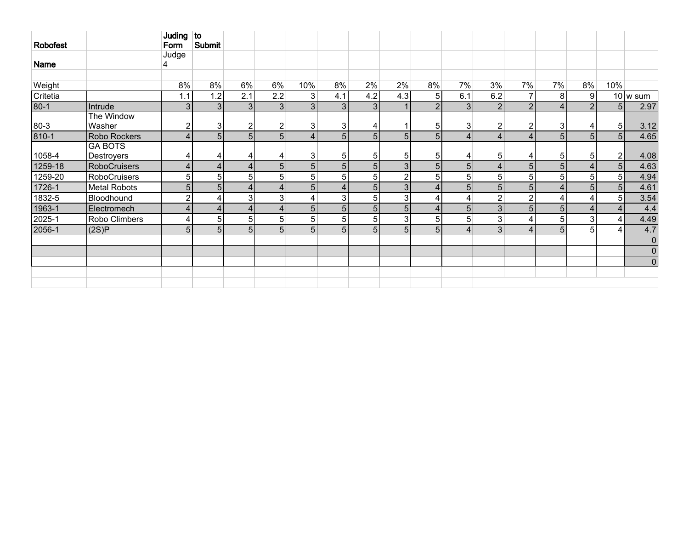| Robofest  |                              | Juding to<br>Form | Submit           |                         |                |                |                |                |                |                |                |                |                         |                |                |                |                        |
|-----------|------------------------------|-------------------|------------------|-------------------------|----------------|----------------|----------------|----------------|----------------|----------------|----------------|----------------|-------------------------|----------------|----------------|----------------|------------------------|
| Name      |                              | Judge             |                  |                         |                |                |                |                |                |                |                |                |                         |                |                |                |                        |
| Weight    |                              | 8%                | 8%               | 6%                      | 6%             | 10%            | 8%             | 2%             | 2%             | 8%             | 7%             | 3%             | 7%                      | 7%             | 8%             | 10%            |                        |
| Critetia  |                              | 1.1               | 1.2 <sub>1</sub> | 2.1                     | 2.2            | 3              | 4.1            | 4.2            | 4.3            | 5              | 6.1            | 6.2            | $\overline{7}$          | 8              | 9 <sup>1</sup> |                | $10 \vert w \vert$ sum |
| $80-1$    | Intrude                      | 3                 | 3 <sup>1</sup>   | 3                       | 3 <sub>1</sub> | 3 <sub>l</sub> | 3 <sup>1</sup> | 3              |                | 2 <sup>1</sup> | 3              | $\overline{2}$ | $\overline{2}$          | 4              | 2              | 5              | 2.97                   |
| $80 - 3$  | The Window<br>Washer         | $\boldsymbol{2}$  | 3 <sup>1</sup>   | 2                       |                | 3              | 3 <sub>l</sub> | 4              |                | 5              | 3              | 2              | 2                       | 3              | 4              | 5 <sup>1</sup> | 3.12                   |
| $810 - 1$ | Robo Rockers                 | $\overline{4}$    | 5 <sup>1</sup>   | 5                       | 5 <sub>1</sub> | $\overline{4}$ | 5 <sub>1</sub> | 5              | 5              | 5 <sup>1</sup> | $\overline{4}$ | 4              | $\overline{\mathbf{4}}$ | 5 <sup>1</sup> | 5 <sub>1</sub> | 5 <sup>1</sup> | 4.65                   |
| 1058-4    | <b>GA BOTS</b><br>Destroyers | 4                 | 4                | 4                       | 4              | 3              | 5 <sup>1</sup> | 5 <sub>1</sub> | 5              | 5              | 4              | 5              | 4                       | 5              | 5 <sup>1</sup> | $\mathbf 2$    | 4.08                   |
| 1259-18   | <b>RoboCruisers</b>          | $\overline{4}$    | 4                | $\overline{4}$          | 5              | 5              | 5 <sup>1</sup> | 5 <sub>5</sub> | 3              | 5 <sup>1</sup> | 5 <sup>1</sup> | 4              | 5                       | 51             | 4              | 5              | 4.63                   |
| 1259-20   | <b>RoboCruisers</b>          | 5                 | 5                | 5                       | 5              | 5              | 5              | 5              | $\overline{2}$ | 5 <sup>1</sup> | $\overline{5}$ | 5              | 5                       | 5              | 51             | 5 <sup>1</sup> | 4.94                   |
| 1726-1    | <b>Metal Robots</b>          | 5                 | 5 <sup>1</sup>   | $\overline{\mathbf{4}}$ | Δ              | 5 <sup>5</sup> | 4              | 5              | 3              | $\overline{4}$ | 5              | 5              | 5                       |                | 5              | 5              | 4.61                   |
| 1832-5    | Bloodhound                   | $\overline{2}$    | $\vert 4 \vert$  | 3                       | 3              | 4              | $\mathbf{3}$   | 5              | $\mathbf{3}$   | 4              | 4              | $\overline{2}$ | $\overline{2}$          |                | 4              | 5              | 3.54                   |
| 1963-1    | Electromech                  | 4                 | $\vert 4 \vert$  | $\overline{4}$          | 4              | 5              | 5 <sub>l</sub> | 5 <sub>5</sub> | 5              | $\overline{4}$ | 5              | 3              | 5                       | 5              | $\overline{4}$ | $\overline{4}$ | 4.4                    |
| 2025-1    | Robo Climbers                | 4                 | 5                | 5                       | 5              | 5              | 5 <sup>1</sup> | 5              | $\mathbf{3}$   | 5 <sup>1</sup> | 5              | 3              | 4                       | 5 <sub>1</sub> | 3              | 4              | 4.49                   |
| 2056-1    | (2S)P                        | 5                 | 5 <sup>1</sup>   | 5                       | 5 <sub>1</sub> | 5              | 5 <sub>l</sub> | 5              | 5              | 5 <sup>1</sup> | $\overline{4}$ | 3              | 4                       | 5 <sup>1</sup> | 5 <sup>1</sup> | $\overline{4}$ | 4.7                    |
|           |                              |                   |                  |                         |                |                |                |                |                |                |                |                |                         |                |                |                | $\mathbf 0$            |
|           |                              |                   |                  |                         |                |                |                |                |                |                |                |                |                         |                |                |                | $\mathbf 0$            |
|           |                              |                   |                  |                         |                |                |                |                |                |                |                |                |                         |                |                |                | $\pmb{0}$              |
|           |                              |                   |                  |                         |                |                |                |                |                |                |                |                |                         |                |                |                |                        |
|           |                              |                   |                  |                         |                |                |                |                |                |                |                |                |                         |                |                |                |                        |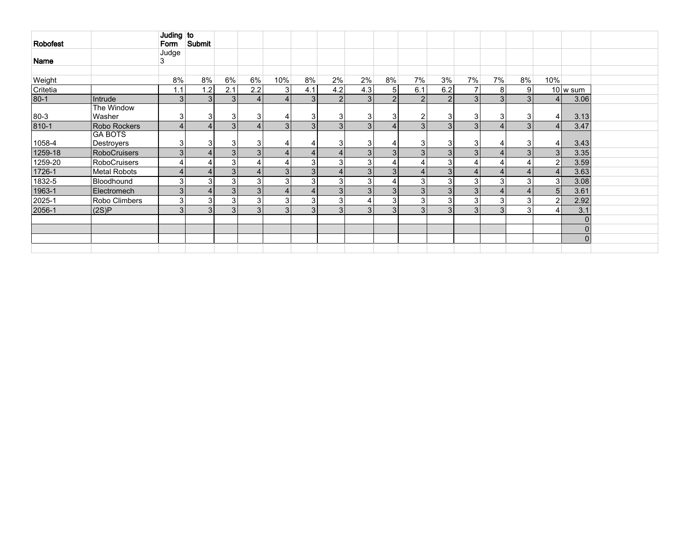| Robofest  |                      | Juding to<br>Form | Submit |                |                |                |                |               |                |                |                |                |                |                |    |                |                          |  |
|-----------|----------------------|-------------------|--------|----------------|----------------|----------------|----------------|---------------|----------------|----------------|----------------|----------------|----------------|----------------|----|----------------|--------------------------|--|
|           |                      | Judge             |        |                |                |                |                |               |                |                |                |                |                |                |    |                |                          |  |
| Name      |                      | 3                 |        |                |                |                |                |               |                |                |                |                |                |                |    |                |                          |  |
|           |                      |                   |        |                |                |                |                |               |                |                |                |                |                |                |    |                |                          |  |
| Weight    |                      | 8%                | 8%     | 6%             | 6%             | 10%            | 8%             | 2%            | 2%             | 8%             | 7%             | 3%             | 7%             | 7%             | 8% | 10%            |                          |  |
| Critetia  |                      | 1.1               | 1.2    | 2.1            | 2.2            | 3              | 4.1            | 4.2           | 4.3            | 5 <sub>1</sub> | 6.1            | 6.2            | 7              | 8              | 9  |                | $10 \vert w \rangle$ sum |  |
| $80 - 1$  | Intrude              | 3                 | 3      | 3 <sup>1</sup> | 4 <sup>1</sup> | $\overline{4}$ | $\overline{3}$ | $\mathcal{P}$ | 3 <sup>1</sup> | $\mathcal{D}$  | 2 <sub>1</sub> |                | 3 <sup>1</sup> | 3              |    | $\overline{4}$ | 3.06                     |  |
| $80 - 3$  | The Window<br>Washer | 3                 | 3      | 3              | 3              |                | 3              | 3             | 31             | 3              | 2              | 3              | 3              | 3              | 3  | 4 <sub>1</sub> | 3.13                     |  |
| $810 - 1$ | Robo Rockers         |                   |        | 3 <sup>1</sup> | 4              | $\overline{3}$ | 3              | 3             | $\overline{3}$ |                | 3              | 3              | 3              | 4              | 3  | $\overline{4}$ | 3.47                     |  |
|           | <b>GA BOTS</b>       |                   |        |                |                |                |                |               |                |                |                |                |                |                |    |                |                          |  |
| 1058-4    | Destroyers           |                   | 3      | 3              | 3              |                | 4              |               | 31             |                | 3              |                | 3              | 4              |    | 4 <sub>1</sub> | 3.43                     |  |
| 1259-18   | RoboCruisers         | $\overline{3}$    |        | 3              | 3 <sup>1</sup> |                | 4              |               | 3 <sup>1</sup> | 3              | 3 <sub>1</sub> | 3              | 3 <sup>1</sup> | $\overline{4}$ | 3  | 3 <sub>l</sub> | 3.35                     |  |
| 1259-20   | RoboCruisers         |                   |        | 3              |                |                | 3              | 3             | 3 <sup>1</sup> |                | 4              | 3 <sub>1</sub> | 4              | 4              |    | $\overline{2}$ | 3.59                     |  |
| 1726-1    | Metal Robots         |                   |        | 3 <sup>1</sup> | $\overline{4}$ | 3 <sup>1</sup> | 3 <sup>1</sup> | Δ             | 3 <sup>1</sup> | 3              | 4              | 3              | 4              | $\overline{4}$ |    | 4 <sub>1</sub> | 3.63                     |  |
| 1832-5    | Bloodhound           |                   | 3      | 3              | 3              | 3              | 3              | 3             | 3              |                | 3              | 3 <sub>1</sub> | 3              | 3              | ◠  | 3 <sub>l</sub> | 3.08                     |  |
| 1963-1    | Electromech          | $\overline{3}$    |        | 3 <sup>1</sup> | 3              |                | 4              |               | 3 <sup>l</sup> | 3              | 3 <sup>1</sup> |                | 3 <sup>1</sup> | $\overline{4}$ |    | 5 <sup>1</sup> | 3.61                     |  |
| 2025-1    | Robo Climbers        | 3                 | 3      | 3              | 3              | 3              | 3              | 3             | 4              | 3              | 3              | 3              | 3              | 3 <sub>l</sub> |    | $\overline{2}$ | 2.92                     |  |
| 2056-1    | (2S)P                | 3 <sup>1</sup>    | 3      | 3 <sup>1</sup> | 3 <sup>1</sup> | $\mathbf{3}$   | 3 <sub>l</sub> | 3             | 3 <sup>1</sup> | 3              | 3              | 3              | 3 <sup>1</sup> | 3              | 3  | 4              | 3.1                      |  |
|           |                      |                   |        |                |                |                |                |               |                |                |                |                |                |                |    |                | $\Omega$                 |  |
|           |                      |                   |        |                |                |                |                |               |                |                |                |                |                |                |    |                | $\overline{0}$           |  |
|           |                      |                   |        |                |                |                |                |               |                |                |                |                |                |                |    |                | $\overline{0}$           |  |
|           |                      |                   |        |                |                |                |                |               |                |                |                |                |                |                |    |                |                          |  |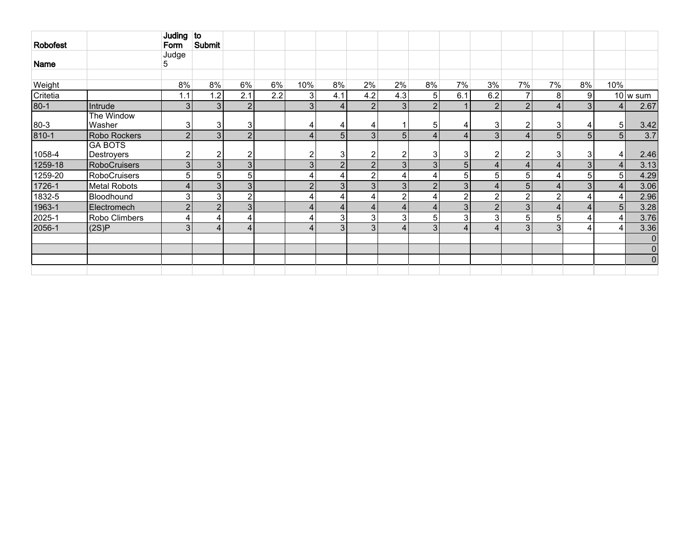|          |                              | Juding to      | Submit         |                |     |                |                         |                |                |                |                 |                 |                |                |                |                |             |
|----------|------------------------------|----------------|----------------|----------------|-----|----------------|-------------------------|----------------|----------------|----------------|-----------------|-----------------|----------------|----------------|----------------|----------------|-------------|
| Robofest |                              | Form           |                |                |     |                |                         |                |                |                |                 |                 |                |                |                |                |             |
| Name     |                              | Judge<br>5     |                |                |     |                |                         |                |                |                |                 |                 |                |                |                |                |             |
|          |                              |                |                |                |     |                |                         |                |                |                |                 |                 |                |                |                |                |             |
| Weight   |                              | 8%             | 8%             | 6%             | 6%  | 10%            | 8%                      | 2%             | 2%             | 8%             | 7%              | 3%              | 7%             | 7%             | 8%             | 10%            |             |
| Critetia |                              | 1.1            | 1.2            | 2.1            | 2.2 | 3 <sup>1</sup> | 4.1                     | 4.2            | 4.3            | 5              | 6.1             | 6.2             | 7              | 8              | 9              |                | 10 w sum    |
| $80 - 1$ | Intrude                      | 3 <sub>l</sub> | 3 <sup>1</sup> | 2 <sub>l</sub> |     | $\overline{3}$ | $\overline{\mathbf{4}}$ | 2              | 3 <sup>1</sup> | $\overline{2}$ |                 | 2               | $\overline{2}$ | 4              | 3 <sub>l</sub> | 4              | 2.67        |
| $80 - 3$ | The Window<br>Washer         | 3              | 3              | $\mathbf{3}$   |     | 4              | 4                       | 4              |                | 5              | 4               | 3               | $\overline{2}$ | 3              | 4              | 5              | 3.42        |
| 810-1    | Robo Rockers                 | $\overline{2}$ | $\overline{3}$ | 2              |     |                | 5 <sup>5</sup>          | 3 <sub>l</sub> | 5 <sub>1</sub> | $\overline{4}$ | $\vert 4 \vert$ | 3 <sub>l</sub>  | 4              | 5 <sup>1</sup> | 5              | 5              | 3.7         |
| 1058-4   | <b>GA BOTS</b><br>Destroyers | $\overline{2}$ | $\overline{2}$ | $\overline{2}$ |     | 2              | 3                       | $\overline{2}$ | $\overline{2}$ | 3              | 3               | 2               | 2              | 3              | 3              | 4              | 2.46        |
| 1259-18  | <b>RoboCruisers</b>          | 3 <sup>1</sup> | 3 <sup>1</sup> | 3 <sup>1</sup> |     | 3              | $\overline{2}$          | $\overline{2}$ | 3 <sup>1</sup> | 3 <sup>1</sup> | 5 <sup>1</sup>  | $\vert 4 \vert$ | 4              |                | 3              | 4              | 3.13        |
| 1259-20  | <b>RoboCruisers</b>          | 5 <sup>1</sup> | 5              | 5 <sup>2</sup> |     | 4              | 4                       | $\overline{2}$ | 4              | 4 <sup>1</sup> | 5               | 5 <sup>1</sup>  | 5              | 4              | 5              | 5              | 4.29        |
| 1726-1   | <b>Metal Robots</b>          | $\overline{4}$ | 3 <sub>l</sub> | 3 <sup>1</sup> |     | $\overline{2}$ | 3                       | 3 <sub>l</sub> | 3 <sup>1</sup> | $\overline{2}$ | $\mathbf{3}$    | 4               | 5              | 4              | 3              | $\overline{4}$ | 3.06        |
| 1832-5   | Bloodhound                   | 3              | $\sqrt{3}$     | $\overline{2}$ |     | 4              | 4                       | $\overline{4}$ | $\overline{2}$ | 4              | າ               | 2               | $\overline{2}$ | <sup>o</sup>   | 4              | 4              | 2.96        |
| 1963-1   | Electromech                  | $\overline{2}$ | $\overline{2}$ | 3 <sup>1</sup> |     | 4              | $\overline{4}$          | $\overline{4}$ | $\overline{4}$ | $\overline{4}$ | $\mathbf{3}$    | $\overline{2}$  | 3              | 4              | $\overline{4}$ | 5              | 3.28        |
| 2025-1   | Robo Climbers                | 4              | 4              | 4              |     | 4              | 3                       | 3              | 3              | 5              | 3               | 3 <sub>l</sub>  | 5              | 51             | 4              | 4              | 3.76        |
| 2056-1   | (2S)P                        | 3              | 4              | 4 <sup>1</sup> |     | 4              | 3                       | 3              | $\overline{4}$ | 3              | 4               | $\vert$         | 3              | 3              | 4              | 4              | 3.36        |
|          |                              |                |                |                |     |                |                         |                |                |                |                 |                 |                |                |                |                | $\mathbf 0$ |
|          |                              |                |                |                |     |                |                         |                |                |                |                 |                 |                |                |                |                | $\mathbf 0$ |
|          |                              |                |                |                |     |                |                         |                |                |                |                 |                 |                |                |                |                | $\mathbf 0$ |
|          |                              |                |                |                |     |                |                         |                |                |                |                 |                 |                |                |                |                |             |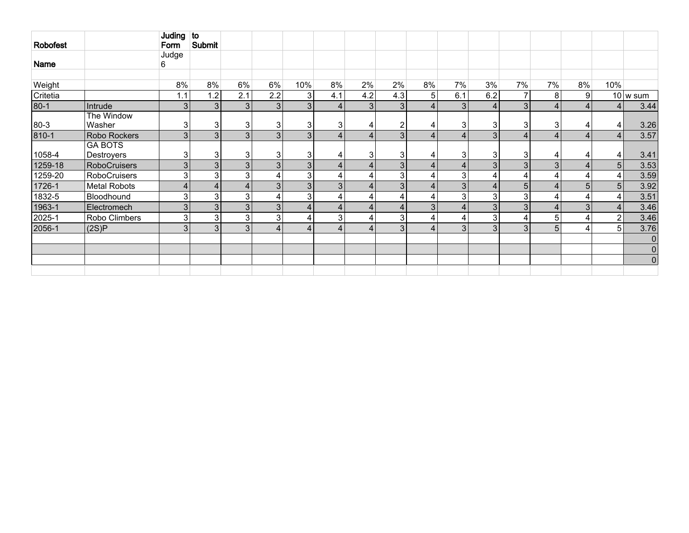| <b>Robofest</b> |                                     | Juding to<br>Form | Submit         |                |                |                 |                  |                |                         |                 |                 |                |                |                 |                |                |                          |
|-----------------|-------------------------------------|-------------------|----------------|----------------|----------------|-----------------|------------------|----------------|-------------------------|-----------------|-----------------|----------------|----------------|-----------------|----------------|----------------|--------------------------|
| Name            |                                     | Judge<br>6        |                |                |                |                 |                  |                |                         |                 |                 |                |                |                 |                |                |                          |
| Weight          |                                     | 8%                | 8%             | 6%             | 6%             | 10%             | 8%               | 2%             | 2%                      | 8%              | 7%              | 3%             | 7%             | 7%              | 8%             | 10%            |                          |
| Critetia        |                                     | 1.1               | 1.2            | 2.1            | 2.2            | 3 <sup>1</sup>  | 4.1              | 4.2            | 4.3                     | 51              | 6.1             | 6.2            |                | 8               | 9              |                | $10 \vert w \rangle$ sum |
| $80-1$          | Intrude                             | 3                 | 3 <sup>1</sup> | 3              | 3 <sup>1</sup> | 3 <sup>1</sup>  | $\overline{4}$   | 3 <sup>1</sup> | 3                       | 4 <sup>1</sup>  | 3 <sub>l</sub>  | 4              | 3 <sup>1</sup> | $\overline{4}$  | $\overline{4}$ | 4              | 3.44                     |
| $80 - 3$        | The Window<br>Washer                | 3                 | 3              | 3              | 3              | 3               | 3                | 4              | $\overline{2}$          | 4               | 3               | 3              | 3              | 3               | 4              | 4              | 3.26                     |
| $810 - 1$       | Robo Rockers                        | 3                 | 3 <sub>l</sub> | 3              | 3              | 3 <sub>1</sub>  | $\boldsymbol{4}$ | $\overline{4}$ | 3 <sup>1</sup>          | $\vert 4 \vert$ | 4               | 3 <sub>1</sub> |                | $\overline{4}$  | $\overline{4}$ | 4              | 3.57                     |
| 1058-4          | <b>GA BOTS</b><br><b>Destroyers</b> | 3                 | 3              | 3              | 3              | 3 <sup>1</sup>  | 4                | 3              | 3                       | 4               | 3 <sup>1</sup>  | 3              | 3              | 4               | 4              | 4              | 3.41                     |
| 1259-18         | <b>RoboCruisers</b>                 | 3                 | 3 <sub>l</sub> | 3              | 3 <sub>l</sub> | 3 <sup>1</sup>  | $\overline{4}$   | $\overline{4}$ | 3                       | $\vert 4 \vert$ | 4               | 3 <sup>1</sup> | 3              | 3 <sub>l</sub>  | $\overline{4}$ | 5              | 3.53                     |
| 1259-20         | <b>RoboCruisers</b>                 | 3                 | 3              | 3              |                | 3               | 4                | $\overline{4}$ | 3                       | 4               | 3               |                |                | 4               | 4              | 4              | 3.59                     |
| 1726-1          | <b>Metal Robots</b>                 | 4                 | $\overline{4}$ | $\overline{4}$ | 3 <sup>1</sup> | 3 <sub>1</sub>  | 3 <sup>1</sup>   | $\overline{4}$ | 3                       | 4 <sub>1</sub>  | 3               | $\overline{4}$ | 5              | $\overline{4}$  | 5              | 5              | 3.92                     |
| 1832-5          | Bloodhound                          | 3                 | 3              | 3              |                | 3 <sup>1</sup>  | $\overline{4}$   | $\overline{4}$ | $\overline{\mathbf{4}}$ | 4               | 3               | 3              | 3              | 4               | 4              | 4              | 3.51                     |
| 1963-1          | Electromech                         | 3                 | $\overline{3}$ | $\overline{3}$ | 3 <sup>1</sup> | $\vert 4 \vert$ | 4                | $\overline{4}$ | 4 <sup>1</sup>          | 3               | $\vert 4 \vert$ | 3 <sup>1</sup> | 3              | $\overline{4}$  | 3              | 4              | 3.46                     |
| 2025-1          | Robo Climbers                       | 3                 | 3 <sub>l</sub> | 3              | $\mathbf{3}$   | 4               | 3                | $\overline{4}$ | $\overline{3}$          | $\vert 4 \vert$ | 4               | 3              |                | $5\overline{)}$ | 4              | $\overline{2}$ | 3.46                     |
| 2056-1          | (2S)P                               | 3                 | 3 <sub>l</sub> | 3              |                | 4 <sup>1</sup>  | $\overline{4}$   | $\overline{4}$ | 3                       | $\vert 4 \vert$ | 3               | 3 <sub>1</sub> | 3              | 5               | 4              | 5 <sup>5</sup> | 3.76                     |
|                 |                                     |                   |                |                |                |                 |                  |                |                         |                 |                 |                |                |                 |                |                | $\mathbf 0$              |
|                 |                                     |                   |                |                |                |                 |                  |                |                         |                 |                 |                |                |                 |                |                | $\mathbf 0$              |
|                 |                                     |                   |                |                |                |                 |                  |                |                         |                 |                 |                |                |                 |                |                | $\mathbf 0$              |
|                 |                                     |                   |                |                |                |                 |                  |                |                         |                 |                 |                |                |                 |                |                |                          |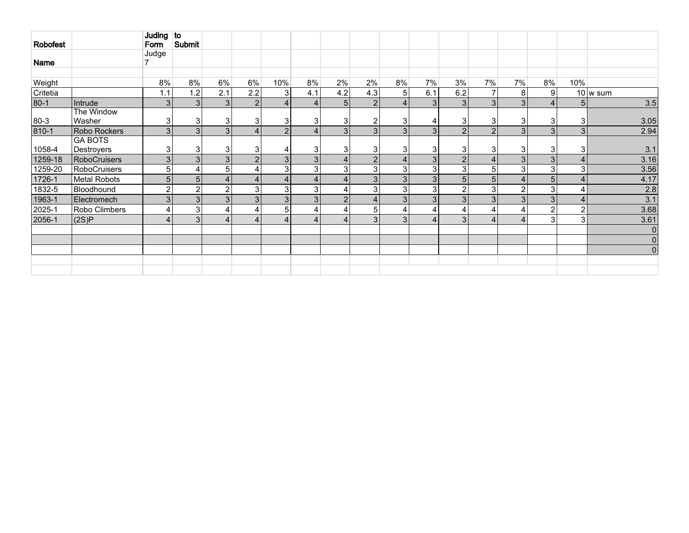| Robofest |                                     | Juding $ $ to<br>Form | Submit         |                |                       |                |                |                   |                |                |                |                |                |                         |                |                |                          |
|----------|-------------------------------------|-----------------------|----------------|----------------|-----------------------|----------------|----------------|-------------------|----------------|----------------|----------------|----------------|----------------|-------------------------|----------------|----------------|--------------------------|
| Name     |                                     | Judge                 |                |                |                       |                |                |                   |                |                |                |                |                |                         |                |                |                          |
|          |                                     |                       |                |                |                       |                |                |                   |                |                |                |                |                |                         |                |                |                          |
| Weight   |                                     | 8%                    | 8%             | 6%             | 6%                    | 10%            | 8%             | 2%                | 2%             | 8%             | 7%             | 3%             | 7%             | 7%                      | 8%             | 10%            |                          |
| Critetia |                                     | 1.1                   | 1.2            | 2.1            | 2.2                   | 3              | 4.1            | 4.2               | 4.3            | 5 <sup>1</sup> | 6.1            | 6.2            | 7              | 8                       | 9              |                | $10 \vert w \rangle$ sum |
| $80 - 1$ | Intrude                             | 3 <sub>l</sub>        | $\mathbf{3}$   | 3              | $\overline{2}$        | $\overline{4}$ |                | 5 <sup>1</sup>    | 2              | $\vert$        | 3 <sup>1</sup> | 3 <sub>l</sub> | 3              | 3 <sub>l</sub>          | $\overline{4}$ | 51             | 3.5                      |
| $80 - 3$ | The Window<br>Washer                | 3 <sup>1</sup>        | 3              | 3              | 3                     | 3              | 3              | $\lvert 3 \rvert$ | 2              | 3              | 4              | 3              | 3              | 31                      | 3              | 3              | 3.05                     |
| 810-1    | Robo Rockers                        | 3 <sub>l</sub>        | $\mathcal{E}$  | 3              | Δ                     | $\overline{2}$ |                | 3 <sup>1</sup>    | 3              | 3              | 3              | $\overline{2}$ | $\overline{2}$ | $\overline{3}$          | 3              | 3 <sub>l</sub> | 2.94                     |
| 1058-4   | <b>GA BOTS</b><br><b>Destroyers</b> | 3 <sup>1</sup>        | 3              | 3              | 3                     | 4              | 3              | 3                 | 3              | 3              | 3              | 3              | 3              | 3 <sup>1</sup>          | 3              | 3              | 3.1                      |
| 1259-18  | <b>RoboCruisers</b>                 | 3 <sup>1</sup>        | $\overline{3}$ | 3              | $\overline{2}$        | 3 <sup>1</sup> | 3 <sup>1</sup> |                   | $\overline{2}$ | $\vert$        | 3 <sup>1</sup> | $\overline{2}$ | 4              | 3 <sup>1</sup>          | $\overline{3}$ | 4              | 3.16                     |
| 1259-20  | RoboCruisers                        | 5 <sub>1</sub>        |                | 5              | 4                     | 3 <sup>1</sup> | 3              | 3                 | 3              | 3              | 3              | 3              | 5              | 3                       | 3              | 3              | 3.56                     |
| 1726-1   | <b>Metal Robots</b>                 | 5 <sub>l</sub>        | 5 <sub>1</sub> | 4              | $\overline{4}$        | 4 <sup>1</sup> |                | 4                 | 3              | 3 <sup>1</sup> | 3 <sup>1</sup> | 5              | 5              | $\overline{4}$          | 5              | 4              | 4.17                     |
| 1832-5   | Bloodhound                          | $\overline{2}$        | $\overline{2}$ | $\overline{2}$ | 3                     | 3 <sup>1</sup> | 3              |                   | 3              | 3 <sup>1</sup> | 3              | $\overline{2}$ | 3              | $\overline{2}$          | 3              | $\overline{4}$ | 2.8                      |
| 1963-1   | Electromech                         | 3 <sub>l</sub>        | $\overline{3}$ | 3              | 3                     | 3 <sup>1</sup> | 3 <sup>1</sup> | 2                 | $\overline{4}$ | 3 <sup>1</sup> | 3              | 3              | 3              | 3 <sup>1</sup>          | 3              | 4              | 3.1                      |
| 2025-1   | Robo Climbers                       | 4 <sub>1</sub>        | 3              | 4              | $\overline{4}$        | 5 <sup>1</sup> | 4              |                   | 5              | $\overline{4}$ | 4              | 4              | 4              | 4                       | $\overline{2}$ | $\overline{2}$ | 3.68                     |
| 2056-1   | (2S)P                               | $\Delta$              | 3              | $\Delta$       | $\boldsymbol{\Delta}$ | 4              |                |                   | 3              | 3              | $\overline{4}$ | 3              | $\overline{4}$ | $\overline{\mathbf{4}}$ | 3              | 3 <sub>l</sub> | 3.61                     |
|          |                                     |                       |                |                |                       |                |                |                   |                |                |                |                |                |                         |                |                | $\mathbf 0$              |
|          |                                     |                       |                |                |                       |                |                |                   |                |                |                |                |                |                         |                |                | $\mathbf 0$              |
|          |                                     |                       |                |                |                       |                |                |                   |                |                |                |                |                |                         |                |                | $\pmb{0}$                |
|          |                                     |                       |                |                |                       |                |                |                   |                |                |                |                |                |                         |                |                |                          |
|          |                                     |                       |                |                |                       |                |                |                   |                |                |                |                |                |                         |                |                |                          |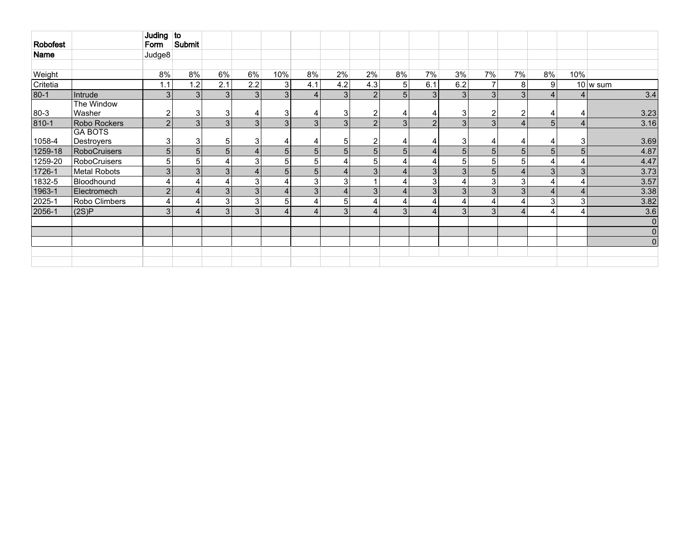| Robofest |                              | Juding to<br>Form | Submit         |     |                  |                |                |                 |                |                |                |                |                |                |                         |                |             |
|----------|------------------------------|-------------------|----------------|-----|------------------|----------------|----------------|-----------------|----------------|----------------|----------------|----------------|----------------|----------------|-------------------------|----------------|-------------|
| Name     |                              | Judge8            |                |     |                  |                |                |                 |                |                |                |                |                |                |                         |                |             |
|          |                              |                   |                |     |                  |                |                |                 |                |                |                |                |                |                |                         |                |             |
| Weight   |                              | 8%                | 8%             | 6%  | 6%               | 10%            | 8%             | 2%              | 2%             | 8%             | 7%             | 3%             | 7%             | 7%             | 8%                      | 10%            |             |
| Critetia |                              | 1.1               | 1.2            | 2.1 | 2.2              | 3 <sup>1</sup> | 4.1            | 4.2             | 4.3            | 5 <sup>1</sup> | 6.1            | 6.2            | 7              | 8 <sup>1</sup> | 9                       |                | 10 w sum    |
| $80-1$   | Intrude                      | 3 <sup>1</sup>    | $\mathbf{3}$   | 3   | 3                | 3 <sup>1</sup> | 4              | $\vert 3 \vert$ | 2              | 5 <sup>1</sup> | 3 <sup>1</sup> | 3              | 3              | 3              | 4                       | 4              | 3.4         |
| 80-3     | The Window<br>Washer         | $\overline{2}$    | 3              | 3   | 4                | 31             |                | 3 <sup>1</sup>  | 2              | 4              | 4              | 3              | $\overline{2}$ | 2              | 4                       | 4              | 3.23        |
| 810-1    | Robo Rockers                 | 2 <sup>1</sup>    | 3              | 3   | 3                | $\overline{3}$ | 3 <sup>1</sup> | 3               | 2              | 3              | 2 <sub>1</sub> | 3              | 3              | 4              | 5                       | 4              | 3.16        |
| 1058-4   | <b>GA BOTS</b><br>Destroyers | 3 <sub>1</sub>    | 3              | 5   | 3                | 4              |                | 5               | $\overline{2}$ | 4              | 4              | 3 <sub>1</sub> | 4              | 4              | 4                       | 3              | 3.69        |
| 1259-18  | <b>RoboCruisers</b>          | 5 <sup>1</sup>    | 5 <sub>1</sub> | 5   | $\overline{4}$   | 5 <sup>1</sup> | 5 <sub>l</sub> | 5 <sup>1</sup>  | 5 <sub>1</sub> | 5 <sub>1</sub> | 4 <sup>1</sup> | 5              | 5              | 5 <sup>1</sup> | 5                       | 5 <sup>1</sup> | 4.87        |
| 1259-20  | <b>RoboCruisers</b>          | 5 <sup>1</sup>    | 5              |     | 3                | 5 <sup>1</sup> | 5              |                 | 5              | 4              | 4              | 5 <sub>1</sub> | 5              | 5 <sup>1</sup> | 4                       | 4              | 4.47        |
| 1726-1   | <b>Metal Robots</b>          | 3 <sub>l</sub>    | 3 <sup>1</sup> | 3   | $\boldsymbol{4}$ | 5 <sub>1</sub> | 5 <sup>1</sup> |                 | 3              | $\overline{4}$ | 3              | 3              | 5 <sub>5</sub> | $\overline{4}$ | 3                       | 3 <sub>1</sub> | 3.73        |
| 1832-5   | Bloodhound                   | $\overline{4}$    |                |     | 3                | 4              | 3              | 3               |                | 4              | 3              | Δ              | 3              | 3              | 4                       | 4              | 3.57        |
| 1963-1   | Electromech                  | 2 <sub>1</sub>    | 4              | 3   | 3                | 4 <sup>1</sup> | 3 <sup>1</sup> |                 | 3 <sup>1</sup> | 4 <sup>1</sup> | 3 <sup>1</sup> | 3              | 3              | 3 <sub>l</sub> | $\overline{\mathbf{4}}$ | 4              | 3.38        |
| 2025-1   | Robo Climbers                | $\vert 4 \vert$   | ۷              | 3   | 3                | 5 <sup>1</sup> |                | 5 <sub>1</sub>  | 4              | 4              | 4              | 4              | 4              | 4              | 3                       | 3              | 3.82        |
| 2056-1   | (2S)P                        | 3                 | $\Delta$       | 3   | 3                | $\overline{4}$ |                | 3 <sup>1</sup>  | 4              | 3              | 4 <sub>1</sub> | 3              | 3              | $\overline{4}$ | 4                       | 4              | 3.6         |
|          |                              |                   |                |     |                  |                |                |                 |                |                |                |                |                |                |                         |                | $\mathbf 0$ |
|          |                              |                   |                |     |                  |                |                |                 |                |                |                |                |                |                |                         |                | $\mathbf 0$ |
|          |                              |                   |                |     |                  |                |                |                 |                |                |                |                |                |                |                         |                | $\mathbf 0$ |
|          |                              |                   |                |     |                  |                |                |                 |                |                |                |                |                |                |                         |                |             |
|          |                              |                   |                |     |                  |                |                |                 |                |                |                |                |                |                |                         |                |             |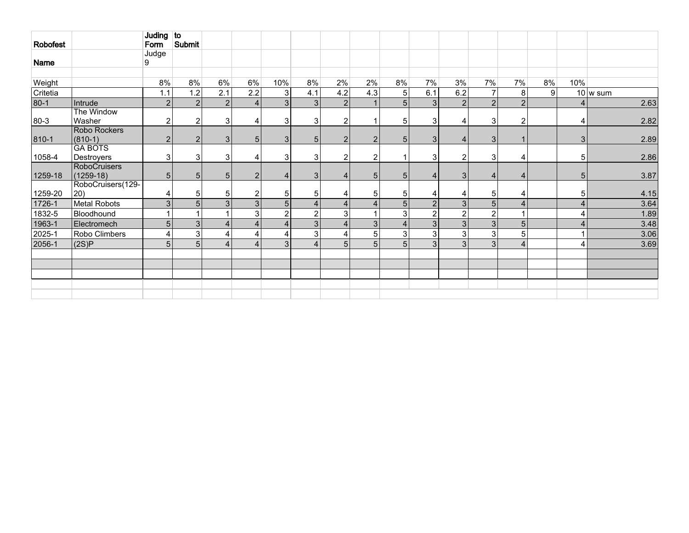| Robofest |                                   | Juding to<br>Form | Submit         |                |                |                |                |                |                |                |                |                |                |                |                |                |                    |
|----------|-----------------------------------|-------------------|----------------|----------------|----------------|----------------|----------------|----------------|----------------|----------------|----------------|----------------|----------------|----------------|----------------|----------------|--------------------|
|          |                                   | Judge             |                |                |                |                |                |                |                |                |                |                |                |                |                |                |                    |
| Name     |                                   | 9                 |                |                |                |                |                |                |                |                |                |                |                |                |                |                |                    |
|          |                                   |                   |                |                |                |                |                |                |                |                |                |                |                |                |                |                |                    |
| Weight   |                                   | 8%                | 8%             | 6%             | 6%             | 10%            | 8%             | 2%             | 2%             | 8%             | 7%             | 3%             | 7%             | 7%             | 8%             | 10%            |                    |
| Critetia |                                   | 1.1               | 1.2            | 2.1            | 2.2            | 3 <sup>1</sup> | 4.1            | 4.2            | 4.3            | 5 <sup>1</sup> | 6.1            | 6.2            | $\overline{7}$ | 8              | 9 <sup>1</sup> |                | $10 \text{ w sum}$ |
| $80-1$   | Intrude                           | $\overline{2}$    | $\overline{2}$ | $\overline{2}$ | 4 <sub>1</sub> | $\overline{3}$ | 3 <sup>1</sup> | 2 <sup>2</sup> |                | 5 <sup>1</sup> | 3 <sup>1</sup> | $\overline{2}$ | $\overline{2}$ | $\overline{2}$ |                | 4              | 2.63               |
|          | The Window                        |                   |                |                |                |                |                |                |                |                |                |                |                |                |                |                |                    |
| 80-3     | Washer                            | 2                 | $\overline{2}$ | 3              | 4              | 3              | 3              | 2              |                | 5              | 3              | 4              | 3              | $\overline{2}$ |                | 4              | 2.82               |
|          | Robo Rockers                      |                   |                |                |                |                |                |                |                |                |                |                |                |                |                |                |                    |
| 810-1    | $(810-1)$                         | 2                 | 2              | 3              | 5              | 3 <sup>1</sup> | 5 <sub>5</sub> | $\overline{2}$ | $\overline{2}$ | 5 <sub>1</sub> | 3 <sup>1</sup> | 4              | 3              | $\mathbf 1$    |                | 3              | 2.89               |
|          | <b>GA BOTS</b>                    |                   | 3              |                |                |                |                |                |                |                |                |                |                |                |                |                |                    |
| 1058-4   | Destroyers<br><b>RoboCruisers</b> | 3 <sub>l</sub>    |                | 3              | 4              | 3 <sup>1</sup> | 3              | $\overline{2}$ | $\overline{2}$ |                | 3              | $\overline{2}$ | 3              | 4              |                | 5              | 2.86               |
| 1259-18  | $(1259-18)$                       | 5 <sub>1</sub>    | 5 <sub>1</sub> | 5              | 2              | 4              | $\mathbf{3}$   | $\overline{a}$ | 5              | 5 <sub>1</sub> | $\overline{4}$ | 3 <sup>1</sup> | $\overline{4}$ | 4              |                | 5              | 3.87               |
|          | RoboCruisers(129-                 |                   |                |                |                |                |                |                |                |                |                |                |                |                |                |                |                    |
| 1259-20  | $ 20\rangle$                      | 4                 | 5              | 5              | $\overline{2}$ | 5 <sub>1</sub> | 5              |                | 5              | 5              | 4              | 4              | 5              | 4              |                | 5              | 4.15               |
| 1726-1   | Metal Robots                      | 3                 | 5              | 3              | 3              | 5 <sup>1</sup> |                |                | $\overline{4}$ | 5 <sup>1</sup> | $\overline{2}$ | 3              | 5              | $\overline{4}$ |                | $\overline{4}$ | 3.64               |
| 1832-5   | Bloodhound                        |                   |                |                | 3              | $\overline{2}$ | 2              | 3              |                | $\mathbf{3}$   | $\overline{c}$ | $\overline{2}$ | $\overline{2}$ | 1              |                | $\overline{4}$ | 1.89               |
| 1963-1   | Electromech                       | 5 <sup>1</sup>    | $\overline{3}$ | $\Delta$       | 4              | $\overline{4}$ | 3 <sup>1</sup> |                | 3 <sup>1</sup> | $\overline{4}$ | $\overline{3}$ | 3 <sup>1</sup> | $\overline{3}$ | $\overline{5}$ |                |                | 3.48               |
| 2025-1   | Robo Climbers                     | 4                 | 3              |                | 4              | 4              | 3              |                | 5              | $\mathbf{3}$   | $\sqrt{3}$     | 3              | 3              | 5              |                |                | 3.06               |
| 2056-1   | (2S)P                             | 5 <sup>1</sup>    | 5 <sup>1</sup> | Δ              | $\Delta$       | 3 <sup>1</sup> |                | 5 <sup>1</sup> | 5              | 5 <sup>1</sup> | 3 <sup>1</sup> | 3 <sup>1</sup> | 3              | $\overline{4}$ |                | 4              | 3.69               |
|          |                                   |                   |                |                |                |                |                |                |                |                |                |                |                |                |                |                |                    |
|          |                                   |                   |                |                |                |                |                |                |                |                |                |                |                |                |                |                |                    |
|          |                                   |                   |                |                |                |                |                |                |                |                |                |                |                |                |                |                |                    |
|          |                                   |                   |                |                |                |                |                |                |                |                |                |                |                |                |                |                |                    |
|          |                                   |                   |                |                |                |                |                |                |                |                |                |                |                |                |                |                |                    |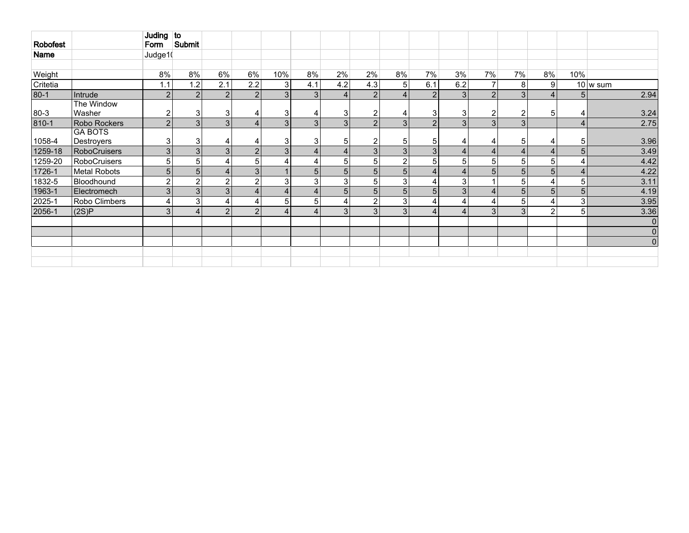| Robofest |                              | Juding to<br>Form | Submit         |     |                |                |                |                |                |                |                |                 |                |                |                |                |             |
|----------|------------------------------|-------------------|----------------|-----|----------------|----------------|----------------|----------------|----------------|----------------|----------------|-----------------|----------------|----------------|----------------|----------------|-------------|
| Name     |                              | Judge1(           |                |     |                |                |                |                |                |                |                |                 |                |                |                |                |             |
|          |                              |                   |                |     |                |                |                |                |                |                |                |                 |                |                |                |                |             |
| Weight   |                              | 8%                | 8%             | 6%  | 6%             | 10%            | 8%             | 2%             | 2%             | 8%             | 7%             | 3%              | 7%             | 7%             | 8%             | 10%            |             |
| Critetia |                              | 1.1               | 1.2            | 2.1 | 2.2            | 3 <sup>1</sup> | 4.1            | 4.2            | 4.3            | 5 <sup>1</sup> | 6.1            | 6.2             | 7              | 8 <sup>1</sup> | 9 <sup>1</sup> |                | $10$ w sum  |
| $80-1$   | Intrude                      | 2 <sup>1</sup>    | 2              | 2   | $\overline{2}$ | 3 <sup>1</sup> | 3 <sup>1</sup> | $\overline{4}$ | 2              | 4 <sup>1</sup> | $\overline{2}$ | 3               | $\overline{2}$ | 3              | 4              | 5 <sub>l</sub> | 2.94        |
| 80-3     | The Window<br>Washer         | $\overline{2}$    | 3              | 3   | 4              | 31             |                | 3 <sup>1</sup> | 2              | 4              | 3              | 3 <sub>1</sub>  | $\overline{2}$ | 2              | 5              | 4              | 3.24        |
| 810-1    | Robo Rockers                 | 2 <sup>1</sup>    | 3              | 3   | 4              | 3 <sup>1</sup> | 3 <sup>1</sup> | 3              | 2              | 3              | 2 <sub>1</sub> | 3               | 3              | 3              |                | 4              | 2.75        |
| 1058-4   | <b>GA BOTS</b><br>Destroyers | 3 <sub>1</sub>    | 3              | Δ   | 4              | 3              | 3              | 5              | $\overline{2}$ | 5              | 5              | 4               | 4              | 5 <sup>1</sup> | 4              | 5              | 3.96        |
| 1259-18  | <b>RoboCruisers</b>          | 3 <sup>1</sup>    | 3 <sup>1</sup> | 3   | $\overline{2}$ | 3 <sup>1</sup> | $\overline{4}$ | 4              | 3              | 3 <sup>1</sup> | 3              | $\vert 4 \vert$ | $\overline{4}$ | 4              | 4              | 5 <sup>1</sup> | 3.49        |
| 1259-20  | <b>RoboCruisers</b>          | 5 <sup>1</sup>    | 5              |     | 5              | 4 <sub>1</sub> |                | 5              | 5              | $\overline{2}$ | 5 <sup>1</sup> | 5               | 5              | 5 <sup>1</sup> | 5              | 4              | 4.42        |
| 1726-1   | <b>Metal Robots</b>          | 5 <sub>l</sub>    | 5 <sup>1</sup> |     | 3              |                | 5 <sub>1</sub> | 5 <sub>1</sub> | 5 <sub>1</sub> | 5 <sub>1</sub> | 4 <sup>1</sup> | 4               | 5              | 5 <sup>1</sup> | 5 <sub>1</sub> | $\overline{4}$ | 4.22        |
| 1832-5   | Bloodhound                   | $\overline{2}$    | C              | ∩   | $\overline{2}$ | 3 <sup>1</sup> | 3              | 3              | 5              | 3              | 4              | 3               |                | 5 <sup>1</sup> | 4              | 5              | 3.11        |
| 1963-1   | Electromech                  | 3 <sup>1</sup>    | 3 <sup>1</sup> | 3   | $\overline{4}$ | $\overline{4}$ |                | 5 <sup>1</sup> | 5 <sub>1</sub> | 5 <sup>1</sup> | 5 <sup>1</sup> | 3               | 4              | 5 <sup>1</sup> | 5              | 5 <sub>l</sub> | 4.19        |
| 2025-1   | Robo Climbers                | $\vert 4 \vert$   | 3              |     | 4              | 5 <sup>1</sup> | 5              |                | $\overline{2}$ | 3              | 4              | 4               | 4              | 5 <sup>1</sup> | 4              | 3              | 3.95        |
| 2056-1   | (2S)P                        | 3 <sup>l</sup>    | $\Delta$       | 2   | $\overline{2}$ | $\overline{4}$ |                | 3 <sup>1</sup> | 3              | 3 <sub>l</sub> | 4 <sup>1</sup> | 4               | 3              | 3              | 2              | 5              | 3.36        |
|          |                              |                   |                |     |                |                |                |                |                |                |                |                 |                |                |                |                | $\mathbf 0$ |
|          |                              |                   |                |     |                |                |                |                |                |                |                |                 |                |                |                |                | $\mathbf 0$ |
|          |                              |                   |                |     |                |                |                |                |                |                |                |                 |                |                |                |                | $\mathbf 0$ |
|          |                              |                   |                |     |                |                |                |                |                |                |                |                 |                |                |                |                |             |
|          |                              |                   |                |     |                |                |                |                |                |                |                |                 |                |                |                |                |             |